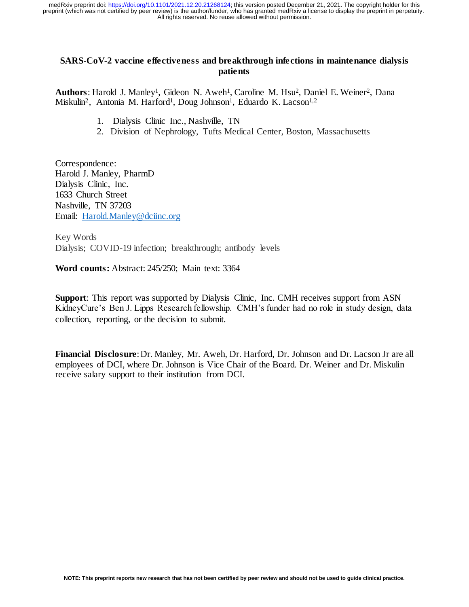# **SARS-CoV-2 vaccine effectiveness and breakthrough infections in maintenance dialysis patients**

Authors: Harold J. Manley<sup>1</sup>, Gideon N. Aweh<sup>1</sup>, Caroline M. Hsu<sup>2</sup>, Daniel E. Weiner<sup>2</sup>, Dana Miskulin<sup>2</sup>, Antonia M. Harford<sup>1</sup>, Doug Johnson<sup>1</sup>, Eduardo K. Lacson<sup>1,2</sup>

- 1. Dialysis Clinic Inc., Nashville, TN
- 2. Division of Nephrology, Tufts Medical Center, Boston, Massachusetts

Correspondence: Harold J. Manley, PharmD Dialysis Clinic, Inc. 1633 Church Street Nashville, TN 37203 Email: [Harold.Manley@dciinc.org](mailto:Harold.Manley@dciinc.org)

Key Words Dialysis; COVID-19 infection; breakthrough; antibody levels

**Word counts:** Abstract: 245/250; Main text: 3364

**Support**: This report was supported by Dialysis Clinic, Inc. CMH receives support from ASN KidneyCure's Ben J. Lipps Research fellowship. CMH's funder had no role in study design, data collection, reporting, or the decision to submit.

**Financial Disclosure**: Dr. Manley, Mr. Aweh, Dr. Harford, Dr. Johnson and Dr. Lacson Jr are all employees of DCI, where Dr. Johnson is Vice Chair of the Board. Dr. Weiner and Dr. Miskulin receive salary support to their institution from DCI.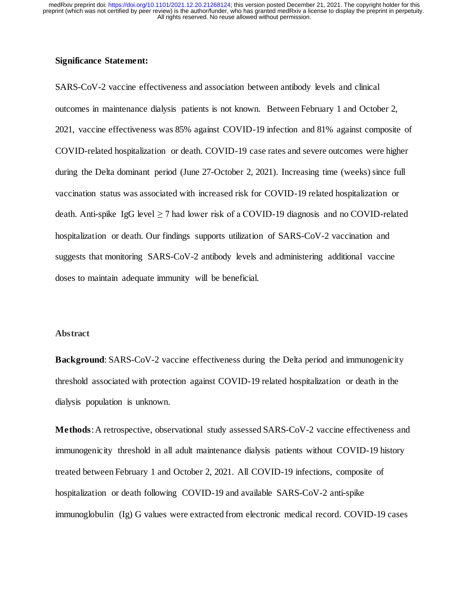# **Significance Statement:**

SARS-CoV-2 vaccine effectiveness and association between antibody levels and clinical outcomes in maintenance dialysis patients is not known. Between February 1 and October 2, 2021, vaccine effectiveness was 85% against COVID-19 infection and 81% against composite of COVID-related hospitalization or death. COVID-19 case rates and severe outcomes were higher during the Delta dominant period (June 27-October 2, 2021). Increasing time (weeks) since full vaccination status was associated with increased risk for COVID-19 related hospitalization or death. Anti-spike IgG level  $\geq$  7 had lower risk of a COVID-19 diagnosis and no COVID-related hospitalization or death. Our findings supports utilization of SARS-CoV-2 vaccination and suggests that monitoring SARS-CoV-2 antibody levels and administering additional vaccine doses to maintain adequate immunity will be beneficial.

# **Abstract**

**Background:** SARS-CoV-2 vaccine effectiveness during the Delta period and immunogenicity threshold associated with protection against COVID-19 related hospitalization or death in the dialysis population is unknown.

**Methods**: A retrospective, observational study assessed SARS-CoV-2 vaccine effectiveness and immunogenicity threshold in all adult maintenance dialysis patients without COVID-19 history treated between February 1 and October 2, 2021. All COVID-19 infections, composite of hospitalization or death following COVID-19 and available SARS-CoV-2 anti-spike immunoglobulin (Ig) G values were extracted from electronic medical record. COVID-19 cases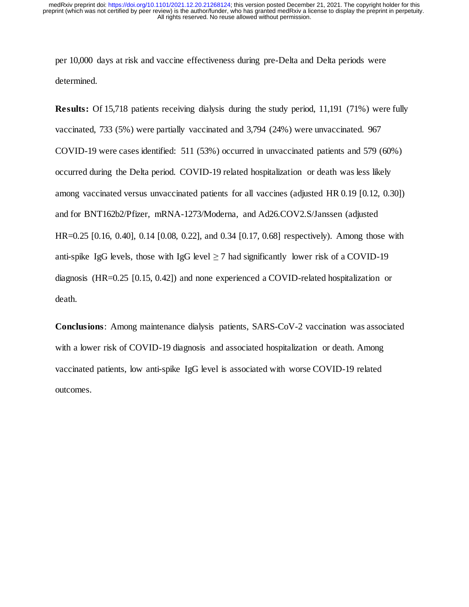per 10,000 days at risk and vaccine effectiveness during pre-Delta and Delta periods were determined.

**Results:** Of 15,718 patients receiving dialysis during the study period, 11,191 (71%) were fully vaccinated, 733 (5%) were partially vaccinated and 3,794 (24%) were unvaccinated. 967 COVID-19 were cases identified: 511 (53%) occurred in unvaccinated patients and 579 (60%) occurred during the Delta period. COVID-19 related hospitalization or death was less likely among vaccinated versus unvaccinated patients for all vaccines (adjusted HR 0.19 [0.12, 0.30]) and for BNT162b2/Pfizer, mRNA-1273/Moderna, and Ad26.COV2.S/Janssen (adjusted HR=0.25 [0.16, 0.40], 0.14 [0.08, 0.22], and 0.34 [0.17, 0.68] respectively). Among those with anti-spike IgG levels, those with IgG level  $\geq$  7 had significantly lower risk of a COVID-19 diagnosis (HR=0.25 [0.15, 0.42]) and none experienced a COVID-related hospitalization or death.

**Conclusions**: Among maintenance dialysis patients, SARS-CoV-2 vaccination was associated with a lower risk of COVID-19 diagnosis and associated hospitalization or death. Among vaccinated patients, low anti-spike IgG level is associated with worse COVID-19 related outcomes.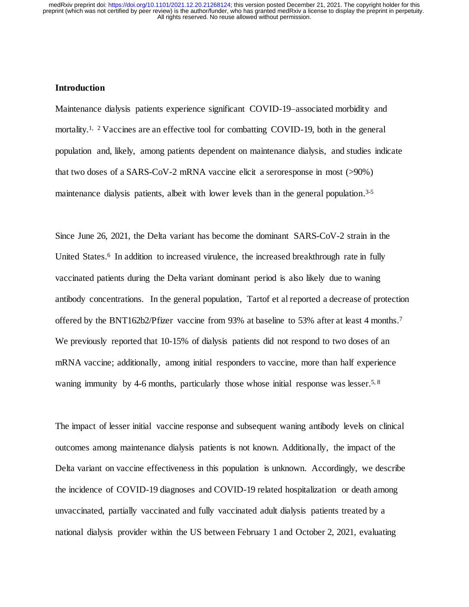## **Introduction**

Maintenance dialysis patients experience significant COVID-19–associated morbidity and mortality.<sup>1, 2</sup> Vaccines are an effective tool for combatting COVID-19, both in the general population and, likely, among patients dependent on maintenance dialysis, and studies indicate that two doses of a SARS-CoV-2 mRNA vaccine elicit a seroresponse in most (>90%) maintenance dialysis patients, albeit with lower levels than in the general population.<sup>3-5</sup>

Since June 26, 2021, the Delta variant has become the dominant SARS-CoV-2 strain in the United States.<sup>6</sup> In addition to increased virulence, the increased breakthrough rate in fully vaccinated patients during the Delta variant dominant period is also likely due to waning antibody concentrations. In the general population, Tartof et al reported a decrease of protection offered by the BNT162b2/Pfizer vaccine from 93% at baseline to 53% after at least 4 months.<sup>7</sup> We previously reported that 10-15% of dialysis patients did not respond to two doses of an mRNA vaccine; additionally, among initial responders to vaccine, more than half experience waning immunity by 4-6 months, particularly those whose initial response was lesser.<sup>5, 8</sup>

The impact of lesser initial vaccine response and subsequent waning antibody levels on clinical outcomes among maintenance dialysis patients is not known. Additionally, the impact of the Delta variant on vaccine effectiveness in this population is unknown. Accordingly, we describe the incidence of COVID-19 diagnoses and COVID-19 related hospitalization or death among unvaccinated, partially vaccinated and fully vaccinated adult dialysis patients treated by a national dialysis provider within the US between February 1 and October 2, 2021, evaluating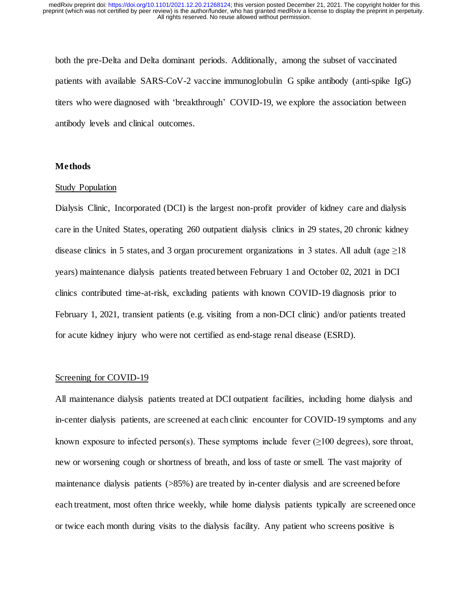both the pre-Delta and Delta dominant periods. Additionally, among the subset of vaccinated patients with available SARS-CoV-2 vaccine immunoglobulin G spike antibody (anti-spike IgG) titers who were diagnosed with 'breakthrough' COVID-19, we explore the association between antibody levels and clinical outcomes.

# **Methods**

#### Study Population

Dialysis Clinic, Incorporated (DCI) is the largest non-profit provider of kidney care and dialysis care in the United States, operating 260 outpatient dialysis clinics in 29 states, 20 chronic kidney disease clinics in 5 states, and 3 organ procurement organizations in 3 states. All adult (age  $\geq$ 18 years) maintenance dialysis patients treated between February 1 and October 02, 2021 in DCI clinics contributed time-at-risk, excluding patients with known COVID-19 diagnosis prior to February 1, 2021, transient patients (e.g. visiting from a non-DCI clinic) and/or patients treated for acute kidney injury who were not certified as end-stage renal disease (ESRD).

# Screening for COVID-19

All maintenance dialysis patients treated at DCI outpatient facilities, including home dialysis and in-center dialysis patients, are screened at each clinic encounter for COVID-19 symptoms and any known exposure to infected person(s). These symptoms include fever  $(\geq 100 \text{ degrees})$ , sore throat, new or worsening cough or shortness of breath, and loss of taste or smell. The vast majority of maintenance dialysis patients (>85%) are treated by in-center dialysis and are screened before each treatment, most often thrice weekly, while home dialysis patients typically are screened once or twice each month during visits to the dialysis facility. Any patient who screens positive is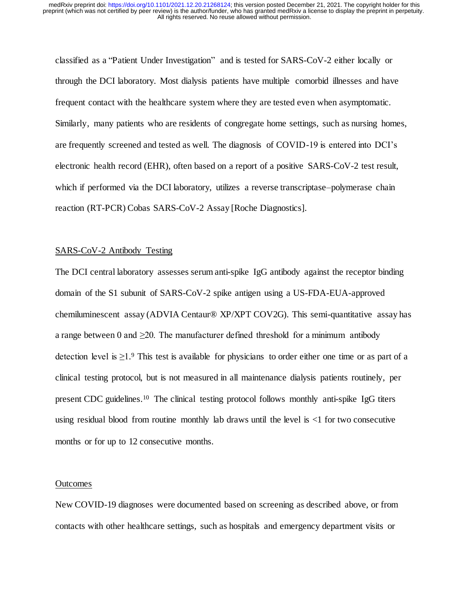classified as a "Patient Under Investigation" and is tested for SARS-CoV-2 either locally or through the DCI laboratory. Most dialysis patients have multiple comorbid illnesses and have frequent contact with the healthcare system where they are tested even when asymptomatic. Similarly, many patients who are residents of congregate home settings, such as nursing homes, are frequently screened and tested as well. The diagnosis of COVID-19 is entered into DCI's electronic health record (EHR), often based on a report of a positive SARS-CoV-2 test result, which if performed via the DCI laboratory, utilizes a reverse transcriptase–polymerase chain reaction (RT-PCR) Cobas SARS-CoV-2 Assay [Roche Diagnostics].

#### SARS-CoV-2 Antibody Testing

The DCI central laboratory assesses serum anti-spike IgG antibody against the receptor binding domain of the S1 subunit of SARS-CoV-2 spike antigen using a US-FDA-EUA-approved chemiluminescent assay (ADVIA Centaur® XP/XPT COV2G). This semi-quantitative assay has a range between 0 and  $\geq$ 20. The manufacturer defined threshold for a minimum antibody detection level is  $\geq$ 1.<sup>9</sup> This test is available for physicians to order either one time or as part of a clinical testing protocol, but is not measured in all maintenance dialysis patients routinely, per present CDC guidelines.10 The clinical testing protocol follows monthly anti-spike IgG titers using residual blood from routine monthly lab draws until the level is <1 for two consecutive months or for up to 12 consecutive months.

#### **Outcomes**

New COVID-19 diagnoses were documented based on screening as described above, or from contacts with other healthcare settings, such as hospitals and emergency department visits or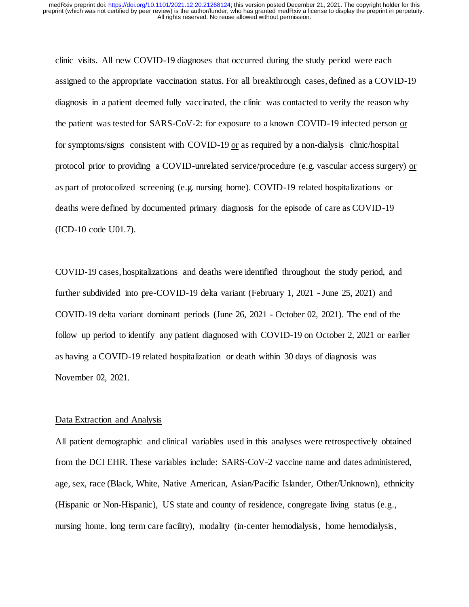clinic visits. All new COVID-19 diagnoses that occurred during the study period were each assigned to the appropriate vaccination status. For all breakthrough cases, defined as a COVID-19 diagnosis in a patient deemed fully vaccinated, the clinic was contacted to verify the reason why the patient was tested for SARS-CoV-2: for exposure to a known COVID-19 infected person or for symptoms/signs consistent with COVID-19 or as required by a non-dialysis clinic/hospital protocol prior to providing a COVID-unrelated service/procedure (e.g. vascular access surgery) or as part of protocolized screening (e.g. nursing home). COVID-19 related hospitalizations or deaths were defined by documented primary diagnosis for the episode of care as COVID-19 (ICD-10 code U01.7).

COVID-19 cases, hospitalizations and deaths were identified throughout the study period, and further subdivided into pre-COVID-19 delta variant (February 1, 2021 - June 25, 2021) and COVID-19 delta variant dominant periods (June 26, 2021 - October 02, 2021). The end of the follow up period to identify any patient diagnosed with COVID-19 on October 2, 2021 or earlier as having a COVID-19 related hospitalization or death within 30 days of diagnosis was November 02, 2021.

### Data Extraction and Analysis

All patient demographic and clinical variables used in this analyses were retrospectively obtained from the DCI EHR. These variables include: SARS-CoV-2 vaccine name and dates administered, age, sex, race (Black, White, Native American, Asian/Pacific Islander, Other/Unknown), ethnicity (Hispanic or Non-Hispanic), US state and county of residence, congregate living status (e.g., nursing home, long term care facility), modality (in-center hemodialysis, home hemodialysis,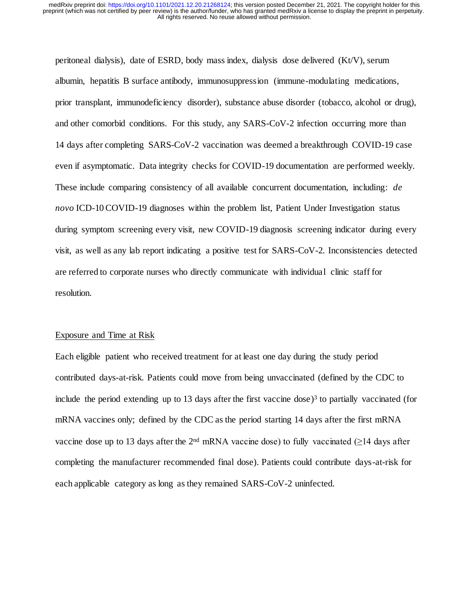peritoneal dialysis), date of ESRD, body mass index, dialysis dose delivered (Kt/V), serum albumin, hepatitis B surface antibody, immunosuppression (immune-modulating medications, prior transplant, immunodeficiency disorder), substance abuse disorder (tobacco, alcohol or drug), and other comorbid conditions. For this study, any SARS-CoV-2 infection occurring more than 14 days after completing SARS-CoV-2 vaccination was deemed a breakthrough COVID-19 case even if asymptomatic. Data integrity checks for COVID-19 documentation are performed weekly. These include comparing consistency of all available concurrent documentation, including: *de novo* ICD-10 COVID-19 diagnoses within the problem list, Patient Under Investigation status during symptom screening every visit, new COVID-19 diagnosis screening indicator during every visit, as well as any lab report indicating a positive test for SARS-CoV-2. Inconsistencies detected are referred to corporate nurses who directly communicate with individual clinic staff for resolution.

# Exposure and Time at Risk

Each eligible patient who received treatment for at least one day during the study period contributed days-at-risk. Patients could move from being unvaccinated (defined by the CDC to include the period extending up to 13 days after the first vaccine dose)<sup>3</sup> to partially vaccinated (for mRNA vaccines only; defined by the CDC as the period starting 14 days after the first mRNA vaccine dose up to 13 days after the 2<sup>nd</sup> mRNA vaccine dose) to fully vaccinated ( $\geq$ 14 days after completing the manufacturer recommended final dose). Patients could contribute days-at-risk for each applicable category as long as they remained SARS-CoV-2 uninfected.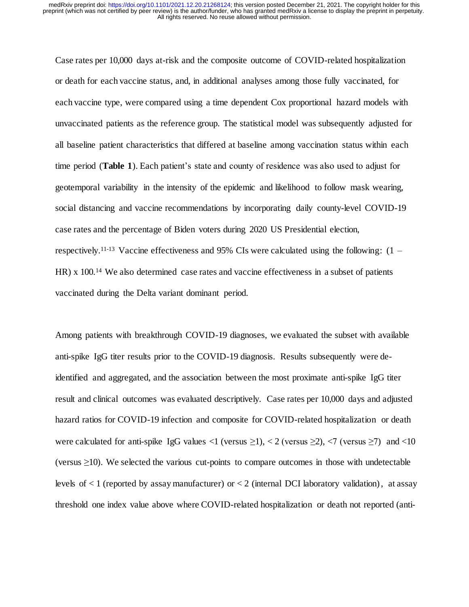Case rates per 10,000 days at-risk and the composite outcome of COVID-related hospitalization or death for each vaccine status, and, in additional analyses among those fully vaccinated, for each vaccine type, were compared using a time dependent Cox proportional hazard models with unvaccinated patients as the reference group. The statistical model was subsequently adjusted for all baseline patient characteristics that differed at baseline among vaccination status within each time period (**Table 1**). Each patient's state and county of residence was also used to adjust for geotemporal variability in the intensity of the epidemic and likelihood to follow mask wearing, social distancing and vaccine recommendations by incorporating daily county-level COVID-19 case rates and the percentage of Biden voters during 2020 US Presidential election, respectively.<sup>11-13</sup> Vaccine effectiveness and 95% CIs were calculated using the following:  $(1 -$ HR) x 100.<sup>14</sup> We also determined case rates and vaccine effectiveness in a subset of patients vaccinated during the Delta variant dominant period.

Among patients with breakthrough COVID-19 diagnoses, we evaluated the subset with available anti-spike IgG titer results prior to the COVID-19 diagnosis. Results subsequently were deidentified and aggregated, and the association between the most proximate anti-spike IgG titer result and clinical outcomes was evaluated descriptively. Case rates per 10,000 days and adjusted hazard ratios for COVID-19 infection and composite for COVID-related hospitalization or death were calculated for anti-spike IgG values <1 (versus  $\geq$ 1), < 2 (versus  $\geq$ 2), <7 (versus  $\geq$ 7) and <10 (versus  $\geq$ 10). We selected the various cut-points to compare outcomes in those with undetectable levels of  $\lt 1$  (reported by assay manufacturer) or  $\lt 2$  (internal DCI laboratory validation), at assay threshold one index value above where COVID-related hospitalization or death not reported (anti-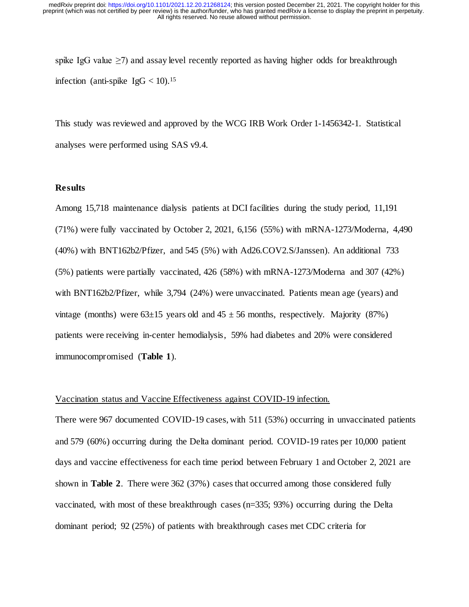spike IgG value  $\geq$ 7) and assay level recently reported as having higher odds for breakthrough infection (anti-spike  $I gG < 10$ ).<sup>15</sup>

This study was reviewed and approved by the WCG IRB Work Order 1-1456342-1. Statistical analyses were performed using SAS v9.4.

# **Results**

Among 15,718 maintenance dialysis patients at DCI facilities during the study period, 11,191 (71%) were fully vaccinated by October 2, 2021, 6,156 (55%) with mRNA-1273/Moderna, 4,490 (40%) with BNT162b2/Pfizer, and 545 (5%) with Ad26.COV2.S/Janssen). An additional 733 (5%) patients were partially vaccinated, 426 (58%) with mRNA-1273/Moderna and 307 (42%) with BNT162b2/Pfizer, while 3,794 (24%) were unvaccinated. Patients mean age (years) and vintage (months) were  $63\pm15$  years old and  $45 \pm 56$  months, respectively. Majority (87%) patients were receiving in-center hemodialysis, 59% had diabetes and 20% were considered immunocompromised (**Table 1**).

#### Vaccination status and Vaccine Effectiveness against COVID-19 infection.

There were 967 documented COVID-19 cases, with 511 (53%) occurring in unvaccinated patients and 579 (60%) occurring during the Delta dominant period. COVID-19 rates per 10,000 patient days and vaccine effectiveness for each time period between February 1 and October 2, 2021 are shown in **Table 2**. There were 362 (37%) cases that occurred among those considered fully vaccinated, with most of these breakthrough cases (n=335; 93%) occurring during the Delta dominant period; 92 (25%) of patients with breakthrough cases met CDC criteria for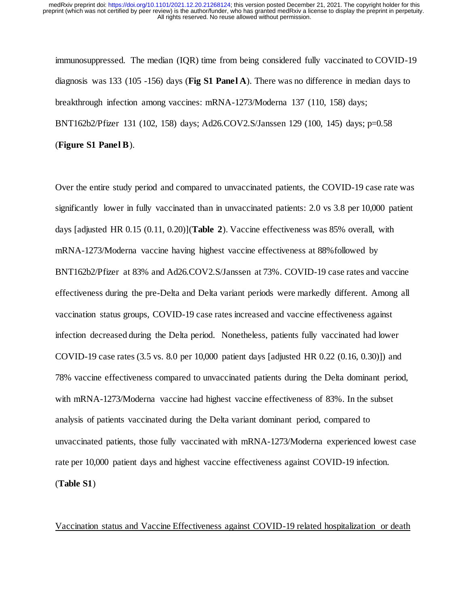immunosuppressed. The median (IQR) time from being considered fully vaccinated to COVID-19 diagnosis was 133 (105 -156) days (**Fig S1 Panel A**). There was no difference in median days to breakthrough infection among vaccines: mRNA-1273/Moderna 137 (110, 158) days; BNT162b2/Pfizer 131 (102, 158) days; Ad26.COV2.S/Janssen 129 (100, 145) days; p=0.58 (**Figure S1 Panel B**).

Over the entire study period and compared to unvaccinated patients, the COVID-19 case rate was significantly lower in fully vaccinated than in unvaccinated patients: 2.0 vs 3.8 per 10,000 patient days [adjusted HR 0.15 (0.11, 0.20)](**Table 2**). Vaccine effectiveness was 85% overall, with mRNA-1273/Moderna vaccine having highest vaccine effectiveness at 88%followed by BNT162b2/Pfizer at 83% and Ad26.COV2.S/Janssen at 73%. COVID-19 case rates and vaccine effectiveness during the pre-Delta and Delta variant periods were markedly different. Among all vaccination status groups, COVID-19 case rates increased and vaccine effectiveness against infection decreased during the Delta period. Nonetheless, patients fully vaccinated had lower COVID-19 case rates (3.5 vs. 8.0 per 10,000 patient days [adjusted HR 0.22 (0.16, 0.30)]) and 78% vaccine effectiveness compared to unvaccinated patients during the Delta dominant period, with mRNA-1273/Moderna vaccine had highest vaccine effectiveness of 83%. In the subset analysis of patients vaccinated during the Delta variant dominant period, compared to unvaccinated patients, those fully vaccinated with mRNA-1273/Moderna experienced lowest case rate per 10,000 patient days and highest vaccine effectiveness against COVID-19 infection. (**Table S1**)

Vaccination status and Vaccine Effectiveness against COVID-19 related hospitalization or death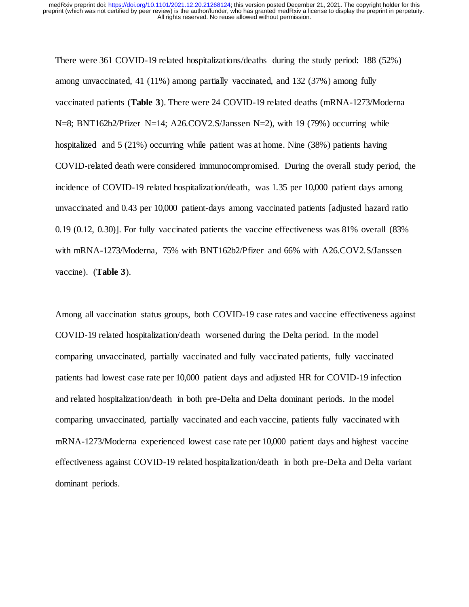There were 361 COVID-19 related hospitalizations/deaths during the study period: 188 (52%) among unvaccinated, 41 (11%) among partially vaccinated, and 132 (37%) among fully vaccinated patients (**Table 3**). There were 24 COVID-19 related deaths (mRNA-1273/Moderna N=8; BNT162b2/Pfizer N=14; A26.COV2.S/Janssen N=2), with 19 (79%) occurring while hospitalized and 5 (21%) occurring while patient was at home. Nine (38%) patients having COVID-related death were considered immunocompromised. During the overall study period, the incidence of COVID-19 related hospitalization/death, was 1.35 per 10,000 patient days among unvaccinated and 0.43 per 10,000 patient-days among vaccinated patients [adjusted hazard ratio 0.19 (0.12, 0.30)]. For fully vaccinated patients the vaccine effectiveness was 81% overall (83% with mRNA-1273/Moderna, 75% with BNT162b2/Pfizer and 66% with A26.COV2.S/Janssen vaccine). (**Table 3**).

Among all vaccination status groups, both COVID-19 case rates and vaccine effectiveness against COVID-19 related hospitalization/death worsened during the Delta period. In the model comparing unvaccinated, partially vaccinated and fully vaccinated patients, fully vaccinated patients had lowest case rate per 10,000 patient days and adjusted HR for COVID-19 infection and related hospitalization/death in both pre-Delta and Delta dominant periods. In the model comparing unvaccinated, partially vaccinated and each vaccine, patients fully vaccinated with mRNA-1273/Moderna experienced lowest case rate per 10,000 patient days and highest vaccine effectiveness against COVID-19 related hospitalization/death in both pre-Delta and Delta variant dominant periods.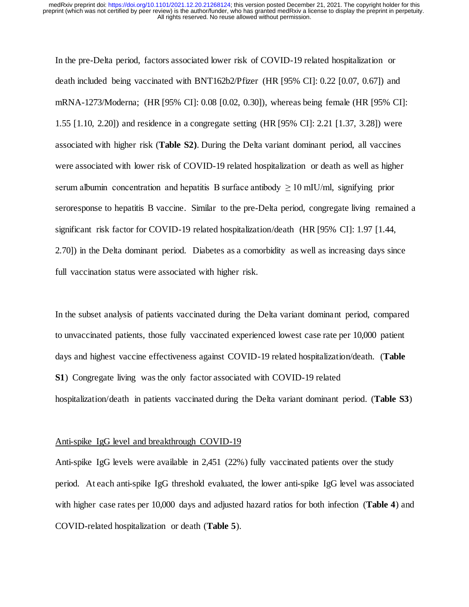In the pre-Delta period, factors associated lower risk of COVID-19 related hospitalization or death included being vaccinated with BNT162b2/Pfizer (HR [95% CI]: 0.22 [0.07, 0.67]) and mRNA-1273/Moderna; (HR [95% CI]: 0.08 [0.02, 0.30]), whereas being female (HR [95% CI]: 1.55 [1.10, 2.20]) and residence in a congregate setting (HR [95% CI]: 2.21 [1.37, 3.28]) were associated with higher risk (**Table S2)**. During the Delta variant dominant period, all vaccines were associated with lower risk of COVID-19 related hospitalization or death as well as higher serum albumin concentration and hepatitis B surface antibody  $\geq 10$  mIU/ml, signifying prior seroresponse to hepatitis B vaccine. Similar to the pre-Delta period, congregate living remained a significant risk factor for COVID-19 related hospitalization/death (HR [95% CI]: 1.97 [1.44, 2.70]) in the Delta dominant period. Diabetes as a comorbidity as well as increasing days since full vaccination status were associated with higher risk.

In the subset analysis of patients vaccinated during the Delta variant dominant period, compared to unvaccinated patients, those fully vaccinated experienced lowest case rate per 10,000 patient days and highest vaccine effectiveness against COVID-19 related hospitalization/death. (**Table S1**) Congregate living was the only factor associated with COVID-19 related hospitalization/death in patients vaccinated during the Delta variant dominant period. (**Table S3**)

## Anti-spike IgG level and breakthrough COVID-19

Anti-spike IgG levels were available in 2,451 (22%) fully vaccinated patients over the study period. At each anti-spike IgG threshold evaluated, the lower anti-spike IgG level was associated with higher case rates per 10,000 days and adjusted hazard ratios for both infection (**Table 4**) and COVID-related hospitalization or death (**Table 5**).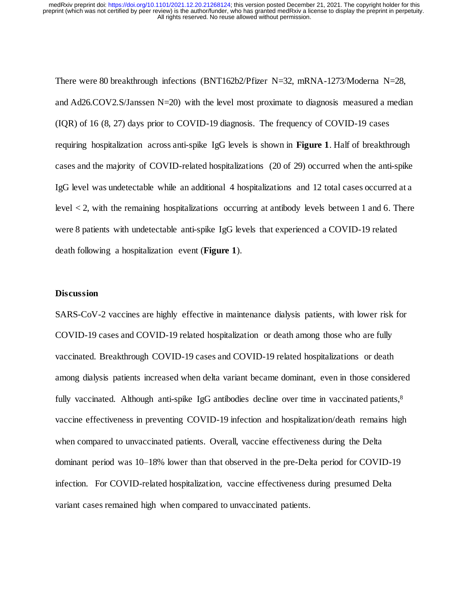There were 80 breakthrough infections (BNT162b2/Pfizer N=32, mRNA-1273/Moderna N=28, and Ad26.COV2.S/Janssen N=20) with the level most proximate to diagnosis measured a median (IQR) of 16 (8, 27) days prior to COVID-19 diagnosis. The frequency of COVID-19 cases requiring hospitalization across anti-spike IgG levels is shown in **Figure 1**. Half of breakthrough cases and the majority of COVID-related hospitalizations (20 of 29) occurred when the anti-spike IgG level was undetectable while an additional 4 hospitalizations and 12 total cases occurred at a level  $\lt 2$ , with the remaining hospitalizations occurring at antibody levels between 1 and 6. There were 8 patients with undetectable anti-spike IgG levels that experienced a COVID-19 related death following a hospitalization event (**Figure 1**).

#### **Discussion**

SARS-CoV-2 vaccines are highly effective in maintenance dialysis patients, with lower risk for COVID-19 cases and COVID-19 related hospitalization or death among those who are fully vaccinated. Breakthrough COVID-19 cases and COVID-19 related hospitalizations or death among dialysis patients increased when delta variant became dominant, even in those considered fully vaccinated. Although anti-spike IgG antibodies decline over time in vaccinated patients, $8$ vaccine effectiveness in preventing COVID-19 infection and hospitalization/death remains high when compared to unvaccinated patients. Overall, vaccine effectiveness during the Delta dominant period was 10–18% lower than that observed in the pre-Delta period for COVID-19 infection. For COVID-related hospitalization, vaccine effectiveness during presumed Delta variant cases remained high when compared to unvaccinated patients.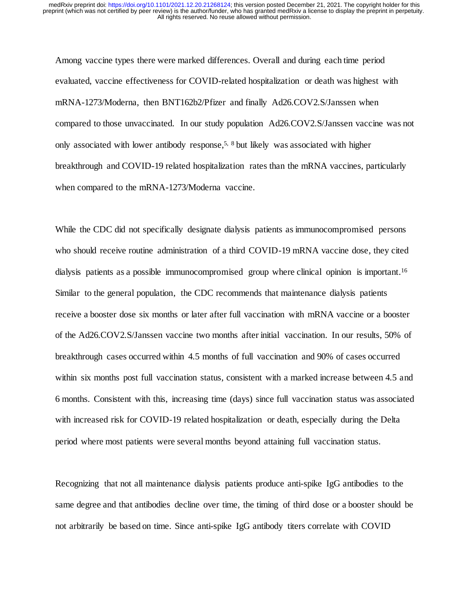Among vaccine types there were marked differences. Overall and during each time period evaluated, vaccine effectiveness for COVID-related hospitalization or death was highest with mRNA-1273/Moderna, then BNT162b2/Pfizer and finally Ad26.COV2.S/Janssen when compared to those unvaccinated. In our study population Ad26.COV2.S/Janssen vaccine was not only associated with lower antibody response,<sup>5, 8</sup> but likely was associated with higher breakthrough and COVID-19 related hospitalization rates than the mRNA vaccines, particularly when compared to the mRNA-1273/Moderna vaccine.

While the CDC did not specifically designate dialysis patients as immunocompromised persons who should receive routine administration of a third COVID-19 mRNA vaccine dose, they cited dialysis patients as a possible immunocompromised group where clinical opinion is important.<sup>16</sup> Similar to the general population, the CDC recommends that maintenance dialysis patients receive a booster dose six months or later after full vaccination with mRNA vaccine or a booster of the Ad26.COV2.S/Janssen vaccine two months after initial vaccination. In our results, 50% of breakthrough cases occurred within 4.5 months of full vaccination and 90% of cases occurred within six months post full vaccination status, consistent with a marked increase between 4.5 and 6 months. Consistent with this, increasing time (days) since full vaccination status was associated with increased risk for COVID-19 related hospitalization or death, especially during the Delta period where most patients were several months beyond attaining full vaccination status.

Recognizing that not all maintenance dialysis patients produce anti-spike IgG antibodies to the same degree and that antibodies decline over time, the timing of third dose or a booster should be not arbitrarily be based on time. Since anti-spike IgG antibody titers correlate with COVID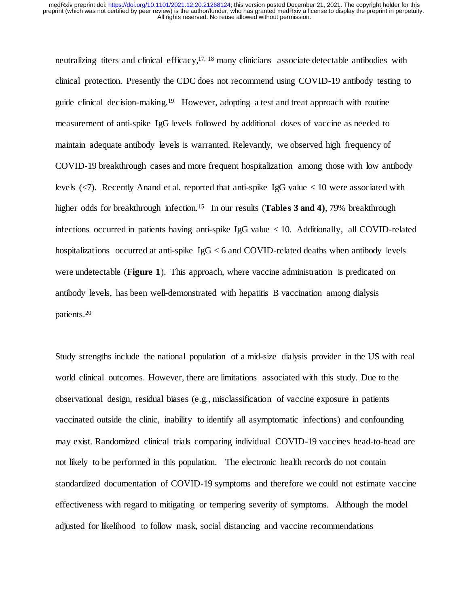neutralizing titers and clinical efficacy, $17$ ,  $18$  many clinicians associate detectable antibodies with clinical protection. Presently the CDC does not recommend using COVID-19 antibody testing to guide clinical decision-making.<sup>19</sup> However, adopting a test and treat approach with routine measurement of anti-spike IgG levels followed by additional doses of vaccine as needed to maintain adequate antibody levels is warranted. Relevantly, we observed high frequency of COVID-19 breakthrough cases and more frequent hospitalization among those with low antibody levels (<7). Recently Anand et al. reported that anti-spike IgG value < 10 were associated with higher odds for breakthrough infection.<sup>15</sup> In our results (**Tables 3 and 4**), 79% breakthrough infections occurred in patients having anti-spike IgG value < 10. Additionally, all COVID-related hospitalizations occurred at anti-spike IgG < 6 and COVID-related deaths when antibody levels were undetectable (**Figure 1**). This approach, where vaccine administration is predicated on antibody levels, has been well-demonstrated with hepatitis B vaccination among dialysis patients. 20

Study strengths include the national population of a mid-size dialysis provider in the US with real world clinical outcomes. However, there are limitations associated with this study. Due to the observational design, residual biases (e.g., misclassification of vaccine exposure in patients vaccinated outside the clinic, inability to identify all asymptomatic infections) and confounding may exist. Randomized clinical trials comparing individual COVID-19 vaccines head-to-head are not likely to be performed in this population. The electronic health records do not contain standardized documentation of COVID-19 symptoms and therefore we could not estimate vaccine effectiveness with regard to mitigating or tempering severity of symptoms. Although the model adjusted for likelihood to follow mask, social distancing and vaccine recommendations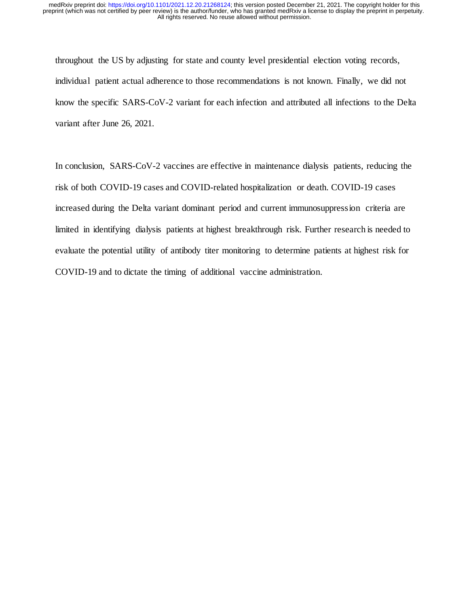throughout the US by adjusting for state and county level presidential election voting records, individual patient actual adherence to those recommendations is not known. Finally, we did not know the specific SARS-CoV-2 variant for each infection and attributed all infections to the Delta variant after June 26, 2021.

In conclusion, SARS-CoV-2 vaccines are effective in maintenance dialysis patients, reducing the risk of both COVID-19 cases and COVID-related hospitalization or death. COVID-19 cases increased during the Delta variant dominant period and current immunosuppression criteria are limited in identifying dialysis patients at highest breakthrough risk. Further research is needed to evaluate the potential utility of antibody titer monitoring to determine patients at highest risk for COVID-19 and to dictate the timing of additional vaccine administration.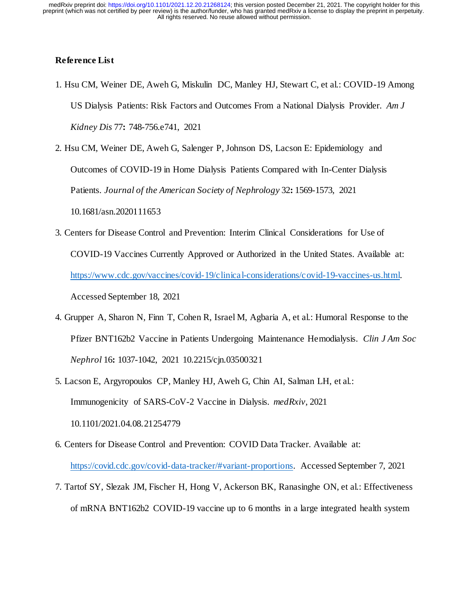# **Reference List**

- 1. Hsu CM, Weiner DE, Aweh G, Miskulin DC, Manley HJ, Stewart C, et al.: COVID-19 Among US Dialysis Patients: Risk Factors and Outcomes From a National Dialysis Provider. *Am J Kidney Dis* 77**:** 748-756.e741, 2021
- 2. Hsu CM, Weiner DE, Aweh G, Salenger P, Johnson DS, Lacson E: Epidemiology and Outcomes of COVID-19 in Home Dialysis Patients Compared with In-Center Dialysis Patients. *Journal of the American Society of Nephrology* 32**:** 1569-1573, 2021 10.1681/asn.2020111653
- 3. Centers for Disease Control and Prevention: Interim Clinical Considerations for Use of COVID-19 Vaccines Currently Approved or Authorized in the United States. Available at: [https://www.cdc.gov/vaccines/covid-19/clinical-considerations/covid-19-vaccines-us.html.](https://www.cdc.gov/vaccines/covid-19/clinical-considerations/covid-19-vaccines-us.html)  Accessed September 18, 2021
- 4. Grupper A, Sharon N, Finn T, Cohen R, Israel M, Agbaria A, et al.: Humoral Response to the Pfizer BNT162b2 Vaccine in Patients Undergoing Maintenance Hemodialysis. *Clin J Am Soc Nephrol* 16**:** 1037-1042, 2021 10.2215/cjn.03500321
- 5. Lacson E, Argyropoulos CP, Manley HJ, Aweh G, Chin AI, Salman LH, et al.: Immunogenicity of SARS-CoV-2 Vaccine in Dialysis. *medRxiv*, 2021 10.1101/2021.04.08.21254779
- 6. Centers for Disease Control and Prevention: COVID Data Tracker. Available at: [https://covid.cdc.gov/covid-data-tracker/#variant-proportions.](https://covid.cdc.gov/covid-data-tracker/#variant-proportions) Accessed September 7, 2021
- 7. Tartof SY, Slezak JM, Fischer H, Hong V, Ackerson BK, Ranasinghe ON, et al.: Effectiveness of mRNA BNT162b2 COVID-19 vaccine up to 6 months in a large integrated health system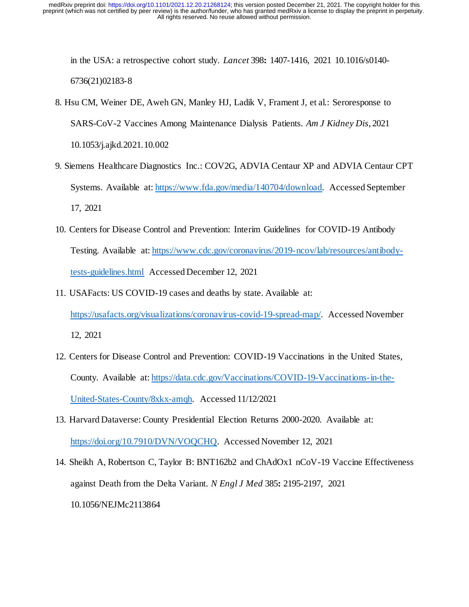in the USA: a retrospective cohort study. *Lancet* 398**:** 1407-1416, 2021 10.1016/s0140- 6736(21)02183-8

- 8. Hsu CM, Weiner DE, Aweh GN, Manley HJ, Ladik V, Frament J, et al.: Seroresponse to SARS-CoV-2 Vaccines Among Maintenance Dialysis Patients. *Am J Kidney Dis*, 2021 10.1053/j.ajkd.2021.10.002
- 9. Siemens Healthcare Diagnostics Inc.: COV2G, ADVIA Centaur XP and ADVIA Centaur CPT Systems. Available at[: https://www.fda.gov/media/140704/download.](https://www.fda.gov/media/140704/download) Accessed September 17, 2021
- 10. Centers for Disease Control and Prevention: Interim Guidelines for COVID-19 Antibody Testing. Available at[: https://www.cdc.gov/coronavirus/2019-ncov/lab/resources/antibody](https://www.cdc.gov/coronavirus/2019-ncov/lab/resources/antibody-tests-guidelines.html)[tests-guidelines.html](https://www.cdc.gov/coronavirus/2019-ncov/lab/resources/antibody-tests-guidelines.html) Accessed December 12, 2021
- 11. USAFacts: US COVID-19 cases and deaths by state. Available at: [https://usafacts.org/visualizations/coronavirus-covid-19-spread-map/.](https://usafacts.org/visualizations/coronavirus-covid-19-spread-map/) Accessed November 12, 2021
- 12. Centers for Disease Control and Prevention: COVID-19 Vaccinations in the United States, County. Available at: [https://data.cdc.gov/Vaccinations/COVID-19-Vaccinations-in-the-](https://data.cdc.gov/Vaccinations/COVID-19-Vaccinations-in-the-United-States-County/8xkx-amqh)[United-States-County/8xkx-amqh.](https://data.cdc.gov/Vaccinations/COVID-19-Vaccinations-in-the-United-States-County/8xkx-amqh) Accessed 11/12/2021
- 13. Harvard Dataverse: County Presidential Election Returns 2000-2020. Available at: [https://doi.org/10.7910/DVN/VOQCHQ.](https://doi.org/10.7910/DVN/VOQCHQ) Accessed November 12, 2021
- 14. Sheikh A, Robertson C, Taylor B: BNT162b2 and ChAdOx1 nCoV-19 Vaccine Effectiveness against Death from the Delta Variant. *N Engl J Med* 385**:** 2195-2197, 2021 10.1056/NEJMc2113864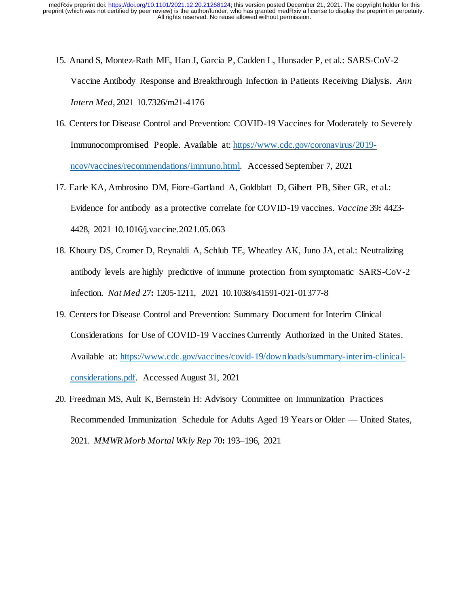- 15. Anand S, Montez-Rath ME, Han J, Garcia P, Cadden L, Hunsader P, et al.: SARS-CoV-2 Vaccine Antibody Response and Breakthrough Infection in Patients Receiving Dialysis. *Ann Intern Med*, 2021 10.7326/m21-4176
- 16. Centers for Disease Control and Prevention: COVID-19 Vaccines for Moderately to Severely Immunocompromised People. Available at: [https://www.cdc.gov/coronavirus/2019](https://www.cdc.gov/coronavirus/2019-ncov/vaccines/recommendations/immuno.html) [ncov/vaccines/recommendations/immuno.html.](https://www.cdc.gov/coronavirus/2019-ncov/vaccines/recommendations/immuno.html) Accessed September 7, 2021
- 17. Earle KA, Ambrosino DM, Fiore-Gartland A, Goldblatt D, Gilbert PB, Siber GR, et al.: Evidence for antibody as a protective correlate for COVID-19 vaccines. *Vaccine* 39**:** 4423- 4428, 2021 10.1016/j.vaccine.2021.05.063
- 18. Khoury DS, Cromer D, Reynaldi A, Schlub TE, Wheatley AK, Juno JA, et al.: Neutralizing antibody levels are highly predictive of immune protection from symptomatic SARS-CoV-2 infection. *Nat Med* 27**:** 1205-1211, 2021 10.1038/s41591-021-01377-8
- 19. Centers for Disease Control and Prevention: Summary Document for Interim Clinical Considerations for Use of COVID-19 Vaccines Currently Authorized in the United States. Available at: [https://www.cdc.gov/vaccines/covid-19/downloads/summary-interim-clinical](https://www.cdc.gov/vaccines/covid-19/downloads/summary-interim-clinical-considerations.pdf)[considerations.pdf.](https://www.cdc.gov/vaccines/covid-19/downloads/summary-interim-clinical-considerations.pdf) Accessed August 31, 2021
- 20. Freedman MS, Ault K, Bernstein H: Advisory Committee on Immunization Practices Recommended Immunization Schedule for Adults Aged 19 Years or Older — United States, 2021. *MMWR Morb Mortal Wkly Rep* 70**:** 193–196, 2021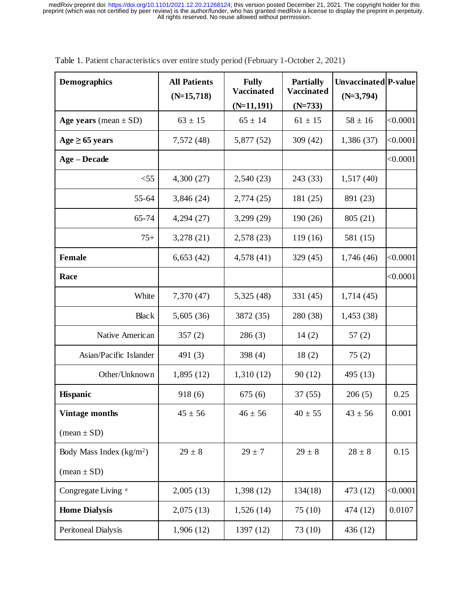| <b>Demographics</b>            | <b>All Patients</b><br>$(N=15,718)$ | <b>Fully</b><br><b>Vaccinated</b> | <b>Partially</b><br><b>Vaccinated</b> | Unvaccinated P-value<br>$(N=3,794)$ |          |
|--------------------------------|-------------------------------------|-----------------------------------|---------------------------------------|-------------------------------------|----------|
|                                |                                     | $(N=11, 191)$                     | $(N=733)$                             |                                     |          |
| Age years (mean $\pm$ SD)      | $63 \pm 15$                         | $65 \pm 14$                       | $61 \pm 15$                           | $58 \pm 16$                         | < 0.0001 |
| $Age \geq 65 \text{ years}$    | 7,572 (48)                          | 5,877 (52)                        | 309 (42)                              | 1,386 (37)                          | < 0.0001 |
| <b>Age – Decade</b>            |                                     |                                   |                                       |                                     | < 0.0001 |
| $<$ 55                         | 4,300(27)                           | 2,540(23)                         | 243 (33)                              | 1,517(40)                           |          |
| 55-64                          | 3,846 (24)                          | 2,774(25)                         | 181 (25)                              | 891 (23)                            |          |
| 65-74                          | 4,294(27)                           | 3,299(29)                         | 190 (26)                              | 805 (21)                            |          |
| $75+$                          | 3,278(21)                           | 2,578(23)                         | 119(16)                               | 581 (15)                            |          |
| Female                         | 6,653(42)                           | 4,578(41)                         | 329(45)                               | 1,746(46)                           | < 0.0001 |
| Race                           |                                     |                                   |                                       |                                     | < 0.0001 |
| White                          | 7,370 (47)                          | 5,325(48)                         | 331 (45)                              | 1,714(45)                           |          |
| <b>Black</b>                   | 5,605(36)                           | 3872 (35)                         | 280 (38)                              | 1,453(38)                           |          |
| Native American                | 357(2)                              | 286(3)                            | 14(2)                                 | 57(2)                               |          |
| Asian/Pacific Islander         | 491 (3)                             | 398 $(4)$                         | 18(2)                                 | 75(2)                               |          |
| Other/Unknown                  | 1,895(12)                           | 1,310(12)                         | 90(12)                                | 495 (13)                            |          |
| Hispanic                       | 918(6)                              | 675(6)                            | 37(55)                                | 206(5)                              | 0.25     |
| <b>Vintage months</b>          | $45 \pm 56$                         | $46 \pm 56$                       | $40 \pm 55$                           | $43 \pm 56$                         | 0.001    |
| $(\text{mean} \pm \text{SD})$  |                                     |                                   |                                       |                                     |          |
| Body Mass Index $(kg/m2)$      | $29 \pm 8$                          | $29 \pm 7$                        | $29 \pm 8$                            | $28 \pm 8$                          | 0.15     |
| $(\text{mean} \pm SD)$         |                                     |                                   |                                       |                                     |          |
| Congregate Living <sup>a</sup> | 2,005(13)                           | 1,398(12)                         | 134(18)                               | 473 (12)                            | < 0.0001 |
| <b>Home Dialysis</b>           | 2,075(13)                           | 1,526(14)                         | 75(10)                                | 474 (12)                            | 0.0107   |
| Peritoneal Dialysis            | 1,906(12)                           | 1397 (12)                         | 73 (10)                               | 436 (12)                            |          |

Table 1. Patient characteristics over entire study period (February 1-October 2, 2021)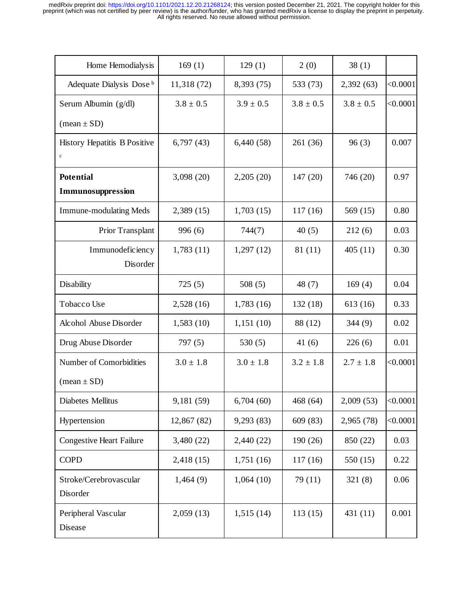| Home Hemodialysis                           | 169(1)        | 129(1)        | 2(0)          | 38(1)         |          |
|---------------------------------------------|---------------|---------------|---------------|---------------|----------|
| Adequate Dialysis Dose b                    | 11,318(72)    | 8,393 (75)    | 533 (73)      | 2,392(63)     | < 0.0001 |
| Serum Albumin (g/dl)                        | $3.8 \pm 0.5$ | $3.9 \pm 0.5$ | $3.8 \pm 0.5$ | $3.8 \pm 0.5$ | < 0.0001 |
| $(\text{mean} \pm SD)$                      |               |               |               |               |          |
| History Hepatitis B Positive<br>$\mathbf c$ | 6,797(43)     | 6,440(58)     | 261(36)       | 96(3)         | 0.007    |
| <b>Potential</b>                            | 3,098(20)     | 2,205(20)     | 147 (20)      | 746 (20)      | 0.97     |
| Immunosuppression                           |               |               |               |               |          |
| <b>Immune-modulating Meds</b>               | 2,389(15)     | 1,703(15)     | 117(16)       | 569 $(15)$    | 0.80     |
| Prior Transplant                            | 996(6)        | 744(7)        | 40(5)         | 212(6)        | 0.03     |
| Immunodeficiency<br>Disorder                | 1,783(11)     | 1,297(12)     | 81 (11)       | 405(11)       | 0.30     |
| Disability                                  | 725(5)        | 508(5)        | 48 $(7)$      | 169(4)        | 0.04     |
| Tobacco Use                                 | 2,528(16)     | 1,783(16)     | 132(18)       | 613 (16)      | 0.33     |
| Alcohol Abuse Disorder                      | 1,583(10)     | 1,151(10)     | 88 (12)       | 344(9)        | 0.02     |
| Drug Abuse Disorder                         | 797(5)        | 530 $(5)$     | 41(6)         | 226(6)        | 0.01     |
| Number of Comorbidities                     | $3.0 \pm 1.8$ | $3.0 \pm 1.8$ | $3.2 \pm 1.8$ | $2.7 \pm 1.8$ | < 0.0001 |
| $(\text{mean} \pm SD)$                      |               |               |               |               |          |
| Diabetes Mellitus                           | 9,181 (59)    | 6,704(60)     | 468 (64)      | 2,009(53)     | < 0.0001 |
| Hypertension                                | 12,867 (82)   | 9,293 (83)    | 609 (83)      | 2,965 (78)    | < 0.0001 |
| <b>Congestive Heart Failure</b>             | 3,480 (22)    | 2,440 (22)    | 190 (26)      | 850 (22)      | 0.03     |
| <b>COPD</b>                                 | 2,418(15)     | 1,751(16)     | 117(16)       | 550 (15)      | 0.22     |
| Stroke/Cerebrovascular<br>Disorder          | 1,464(9)      | 1,064(10)     | 79(11)        | 321(8)        | 0.06     |
| Peripheral Vascular<br>Disease              | 2,059(13)     | 1,515(14)     | 113(15)       | 431 (11)      | 0.001    |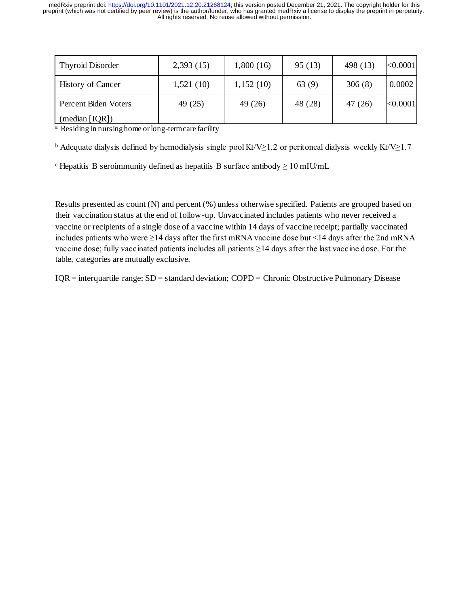| <b>Thyroid Disorder</b>  | 2,393(15) | 1,800(16) | 95(13)  | 498 (13) | < 0.0001 |
|--------------------------|-----------|-----------|---------|----------|----------|
| <b>History of Cancer</b> | 1,521(10) | 1,152(10) | 63(9)   | 306(8)   | 0.0002   |
| Percent Biden Voters     | 49 (25)   | 49 (26)   | 48 (28) | 47 (26)  | < 0.0001 |
| (median [IQR])           |           |           |         |          |          |

 $\alpha$  Residing in nursing home or long-term care facility

<sup>b</sup> Adequate dialysis defined by hemodialysis single pool Kt/V≥1.2 or peritoneal dialysis weekly Kt/V≥1.7

 $\text{c}$  Hepatitis B seroimmunity defined as hepatitis B surface antibody  $\geq 10 \text{ mU/mL}$ 

Results presented as count (N) and percent (%) unless otherwise specified. Patients are grouped based on their vaccination status at the end of follow-up. Unvaccinated includes patients who never received a vaccine or recipients of a single dose of a vaccine within 14 days of vaccine receipt; partially vaccinated includes patients who were ≥14 days after the first mRNA vaccine dose but <14 days after the 2nd mRNA vaccine dose; fully vaccinated patients includes all patients ≥14 days after the last vaccine dose. For the table, categories are mutually exclusive.

IQR = interquartile range; SD = standard deviation; COPD = Chronic Obstructive Pulmonary Disease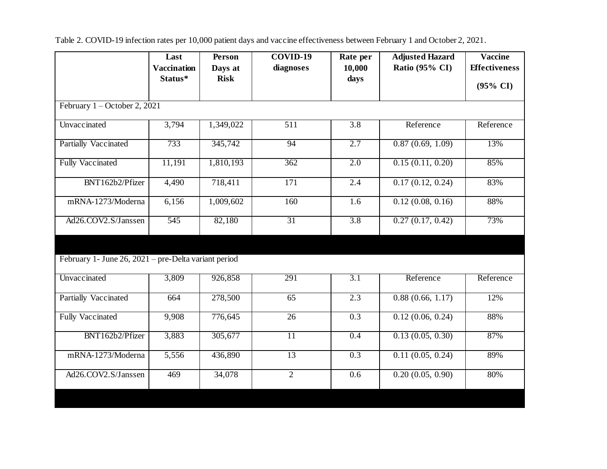|                                                      | Last                          | <b>Person</b>          | COVID-19         | Rate per         | <b>Adjusted Hazard</b> | <b>Vaccine</b>       |
|------------------------------------------------------|-------------------------------|------------------------|------------------|------------------|------------------------|----------------------|
|                                                      | <b>Vaccination</b><br>Status* | Days at<br><b>Risk</b> | diagnoses        | 10,000<br>days   | Ratio (95% CI)         | <b>Effectiveness</b> |
|                                                      |                               |                        |                  |                  |                        | $(95\% \text{ CI})$  |
| February $1 -$ October 2, 2021                       |                               |                        |                  |                  |                        |                      |
| Unvaccinated                                         | 3,794                         | 1,349,022              | $\overline{511}$ | $\overline{3.8}$ | Reference              | Reference            |
| <b>Partially Vaccinated</b>                          | 733                           | 345,742                | 94               | 2.7              | 0.87(0.69, 1.09)       | 13%                  |
| <b>Fully Vaccinated</b>                              | 11,191                        | 1,810,193              | 362              | 2.0              | 0.15(0.11, 0.20)       | 85%                  |
| BNT162b2/Pfizer                                      | 4,490                         | 718,411                | 171              | 2.4              | 0.17(0.12, 0.24)       | 83%                  |
| mRNA-1273/Moderna                                    | 6,156                         | 1,009,602              | 160              | 1.6              | 0.12(0.08, 0.16)       | 88%                  |
| Ad26.COV2.S/Janssen                                  | 545                           | 82,180                 | $\overline{31}$  | $\overline{3.8}$ | 0.27(0.17, 0.42)       | 73%                  |
|                                                      |                               |                        |                  |                  |                        |                      |
| February 1- June 26, 2021 – pre-Delta variant period |                               |                        |                  |                  |                        |                      |
| Unvaccinated                                         | 3,809                         | 926,858                | 291              | $\overline{3.1}$ | Reference              | Reference            |
| Partially Vaccinated                                 | 664                           | 278,500                | 65               | 2.3              | 0.88(0.66, 1.17)       | 12%                  |
| <b>Fully Vaccinated</b>                              | 9,908                         | $\overline{776,}645$   | $\overline{26}$  | $\overline{0.3}$ | 0.12(0.06, 0.24)       | 88%                  |
| BNT162b2/Pfizer                                      | 3,883                         | 305,677                | $\overline{11}$  | 0.4              | 0.13(0.05, 0.30)       | 87%                  |
| mRNA-1273/Moderna                                    | 5,556                         | 436,890                | 13               | 0.3              | 0.11(0.05, 0.24)       | 89%                  |
| Ad26.COV2.S/Janssen                                  | 469                           | 34,078                 | $\overline{2}$   | 0.6              | 0.20(0.05, 0.90)       | 80%                  |
|                                                      |                               |                        |                  |                  |                        |                      |

Table 2. COVID-19 infection rates per 10,000 patient days and vaccine effectiveness between February 1 and October 2, 2021.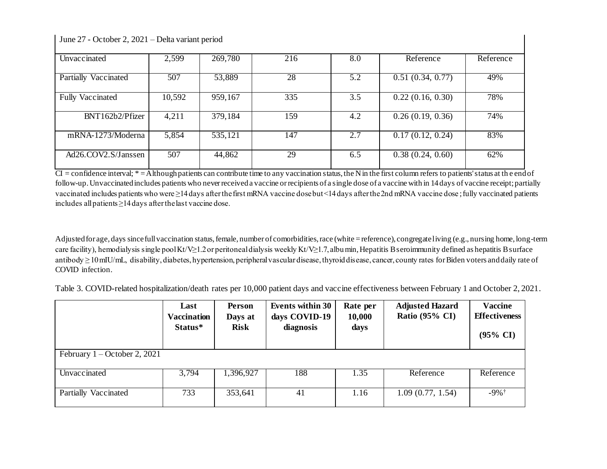June 27 - October 2, 2021 – Delta variant period

| Unvaccinated            | 2,599  | 269,780 | 216 | 8.0 | Reference        | Reference |
|-------------------------|--------|---------|-----|-----|------------------|-----------|
|                         |        |         |     |     |                  |           |
| Vaccinated<br>Partially | 507    | 53,889  | 28  | 5.2 | 0.51(0.34, 0.77) | 49%       |
|                         |        |         |     |     |                  |           |
| <b>Fully Vaccinated</b> | 10,592 | 959,167 | 335 | 3.5 | 0.22(0.16, 0.30) | 78%       |
|                         |        |         |     |     |                  |           |
| BNT162b2/Pfizer         | 4,211  | 379,184 | 159 | 4.2 | 0.26(0.19, 0.36) | 74%       |
|                         |        |         |     |     |                  |           |
| mRNA-1273/Moderna       | 5,854  | 535,121 | 147 | 2.7 | 0.17(0.12, 0.24) | 83%       |
|                         |        |         |     |     |                  |           |
| Ad26.COV2.S/Janssen     | 507    | 44,862  | 29  | 6.5 | 0.38(0.24, 0.60) | 62%       |
|                         |        |         |     |     |                  |           |

 $CI =$  confidence interval;  $* =$  Although patients can contribute time to any vaccination status, the N in the first column refers to patients' status at the end of follow-up. Unvaccinated includes patients who never received a vaccine or recipients of a single dose of a vaccine with in 14 days of vaccine receipt; partially vaccinated includes patients who were ≥14 days after the first mRNA vaccine dose but <14 days after the 2nd mRNA vaccine dose ; fully vaccinated patients includes all patients ≥14 days after the last vaccine dose.

Adjusted for age, days since full vaccination status, female, number of comorbidities, race (white = reference), congregate living (e.g., nursing home, long-term care facility), hemodialysis single pool Kt/V≥1.2 or peritoneal dialysis weekly Kt/V≥1.7, albumin, Hepatitis B seroimmunity defined as hepatitis B surface antibody ≥ 10 mIU/mL, disability, diabetes, hypertension, peripheral vascular disease, thyroid disease, cancer, county rates for Biden voters and daily rate of COVID infection.

Table 3. COVID-related hospitalization/death rates per 10,000 patient days and vaccine effectiveness between February 1 and October 2, 2021.

|                                | Last<br><b>Vaccination</b><br>Status* | Person<br>Days at<br><b>Risk</b> | <b>Events within 30</b><br>days COVID-19<br>diagnosis | Rate per<br>10,000<br>days | <b>Adjusted Hazard</b><br>Ratio $(95\% \text{ CI})$ | <b>Vaccine</b><br><b>Effectiveness</b><br>$(95\% \text{ CI})$ |
|--------------------------------|---------------------------------------|----------------------------------|-------------------------------------------------------|----------------------------|-----------------------------------------------------|---------------------------------------------------------------|
| February $1 -$ October 2, 2021 |                                       |                                  |                                                       |                            |                                                     |                                                               |
| Unvaccinated                   | 3,794                                 | 1,396,927                        | 188                                                   | 1.35                       | Reference                                           | Reference                                                     |
| Partially Vaccinated           | 733                                   | 353,641                          | 41                                                    | 1.16                       | 1.09(0.77, 1.54)                                    | $-9\%$ †                                                      |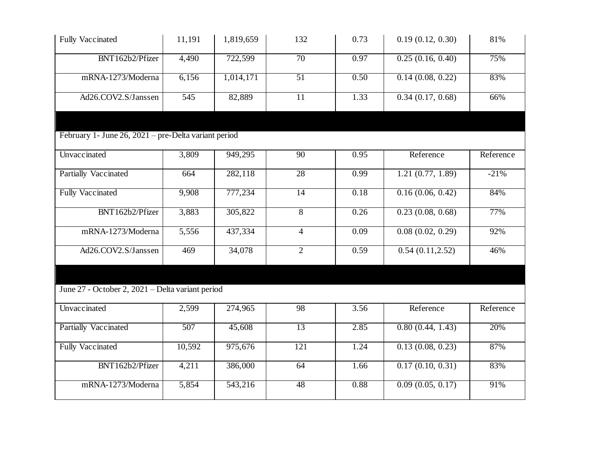| Fully Vaccinated                                     | 11,191 | 1,819,659           | 132              | 0.73 | 0.19(0.12, 0.30) | 81%       |
|------------------------------------------------------|--------|---------------------|------------------|------|------------------|-----------|
| BNT162b2/Pfizer                                      | 4,490  | 722,599             | $\overline{70}$  | 0.97 | 0.25(0.16, 0.40) | 75%       |
| mRNA-1273/Moderna                                    | 6,156  | 1,014,171           | 51               | 0.50 | 0.14(0.08, 0.22) | 83%       |
| Ad26.COV2.S/Janssen                                  | 545    | 82,889              | $\overline{11}$  | 1.33 | 0.34(0.17, 0.68) | 66%       |
|                                                      |        |                     |                  |      |                  |           |
| February 1- June 26, 2021 – pre-Delta variant period |        |                     |                  |      |                  |           |
| Unvaccinated                                         | 3,809  | 949,295             | $\overline{90}$  | 0.95 | Reference        | Reference |
| <b>Partially Vaccinated</b>                          | 664    | 282,118             | 28               | 0.99 | 1.21(0.77, 1.89) | $-21%$    |
| <b>Fully Vaccinated</b>                              | 9,908  | 777,234             | 14               | 0.18 | 0.16(0.06, 0.42) | 84%       |
| BNT162b2/Pfizer                                      | 3,883  | 305,822             | $\sqrt{8}$       | 0.26 | 0.23(0.08, 0.68) | 77%       |
| mRNA-1273/Moderna                                    | 5,556  | 437,334             | $\overline{4}$   | 0.09 | 0.08(0.02, 0.29) | 92%       |
| Ad26.COV2.S/Janssen                                  | 469    | $\overline{34,078}$ | $\overline{2}$   | 0.59 | 0.54(0.11, 2.52) | 46%       |
|                                                      |        |                     |                  |      |                  |           |
| June 27 - October 2, 2021 – Delta variant period     |        |                     |                  |      |                  |           |
| Unvaccinated                                         | 2,599  | 274,965             | 98               | 3.56 | Reference        | Reference |
| <b>Partially Vaccinated</b>                          | 507    | 45,608              | 13               | 2.85 | 0.80(0.44, 1.43) | 20%       |
| Fully Vaccinated                                     | 10,592 | 975,676             | $\overline{121}$ | 1.24 | 0.13(0.08, 0.23) | 87%       |
| BNT162b2/Pfizer                                      | 4,211  | 386,000             | $\overline{64}$  | 1.66 | 0.17(0.10, 0.31) | 83%       |
| mRNA-1273/Moderna                                    | 5,854  | 543,216             | 48               | 0.88 | 0.09(0.05, 0.17) | 91%       |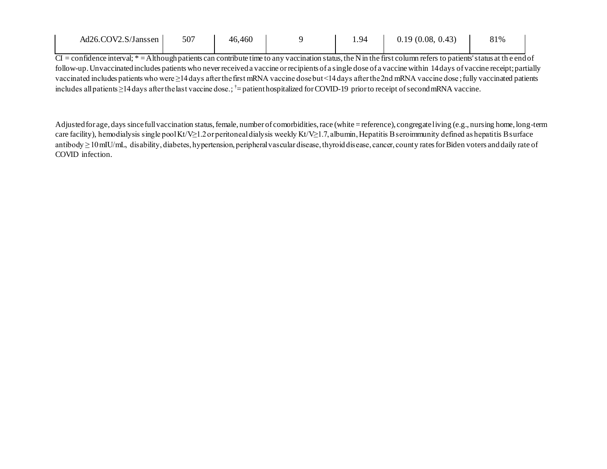| Ad26.COV2.S/Janssen | 507 | 46,460 | . 94 | 0.19(0.08, 0.43) | 81% |  |
|---------------------|-----|--------|------|------------------|-----|--|
|                     |     |        |      |                  |     |  |

 $CI =$  confidence interval;  $* =$  Although patients can contribute time to any vaccination status, the N in the first column refers to patients' status at the end of follow-up. Unvaccinated includes patients who never received a vaccine or recipients of a single dose of a vaccine within 14 days of vaccine receipt; partially vaccinated includes patients who were ≥14 days after the first mRNA vaccine dose but <14 days after the 2nd mRNA vaccine dose ; fully vaccinated patients includes all patients ≥14 days after the last vaccine dose.; †= patient hospitalized for COVID-19 prior to receipt of second mRNA vaccine.

Adjusted for age, days since full vaccination status, female, number of comorbidities, race (white = reference), congregate living (e.g., nursing home, long-term care facility), hemodialysis single pool Kt/V≥1.2 or peritoneal dialysis weekly Kt/V≥1.7, albumin, Hepatitis B seroimmunity defined as hepatitis B surface antibody ≥ 10 mIU/mL, disability, diabetes, hypertension, peripheral vascular disease, thyroid disease, cancer, county rates for Biden voters and daily rate of COVID infection.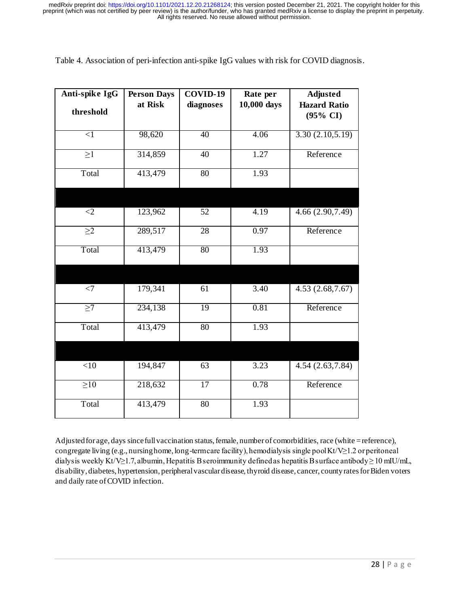| Table 4. Association of peri-infection anti-spike IgG values with risk for COVID diagnosis. |  |  |
|---------------------------------------------------------------------------------------------|--|--|
|                                                                                             |  |  |

| Anti-spike IgG | <b>Person Days</b> | COVID-19        | Rate per    | <b>Adjusted</b>                            |
|----------------|--------------------|-----------------|-------------|--------------------------------------------|
| threshold      | at Risk            | diagnoses       | 10,000 days | <b>Hazard Ratio</b><br>$(95\% \text{ CI})$ |
| $\leq$ 1       | 98,620             | 40              | 4.06        | 3.30(2.10, 5.19)                           |
| $\geq$ 1       | 314,859            | 40              | 1.27        | Reference                                  |
| Total          | 413,479            | $\overline{80}$ | 1.93        |                                            |
|                |                    |                 |             |                                            |
| $<$ 2          | 123,962            | 52              | 4.19        | 4.66 (2.90, 7.49)                          |
| $\geq$ 2       | 289,517            | 28              | 0.97        | Reference                                  |
| Total          | 413,479            | 80              | 1.93        |                                            |
|                |                    |                 |             |                                            |
| $\overline{z}$ | 179,341            | 61              | 3.40        | 4.53(2.68, 7.67)                           |
| $\geq$ 7       | 234,138            | $\overline{19}$ | 0.81        | Reference                                  |
| Total          | 413,479            | 80              | 1.93        |                                            |
|                |                    |                 |             |                                            |
| <10            | 194,847            | 63              | 3.23        | 4.54 (2.63,7.84)                           |
| $\geq 10$      | 218,632            | 17              | 0.78        | Reference                                  |
| Total          | 413,479            | $\overline{80}$ | 1.93        |                                            |

Adjusted for age, days since full vaccination status, female, number of comorbidities, race (white = reference), congregate living (e.g., nursing home, long-term care facility), hemodialysis single pool Kt/V≥1.2 or peritoneal dialysis weekly Kt/V≥1.7, albumin, Hepatitis B seroimmunity defined as hepatitis B surface antibody ≥ 10 mIU/mL, disability, diabetes, hypertension, peripheral vascular disease, thyroid disease, cancer, county rates for Biden voters and daily rate of COVID infection.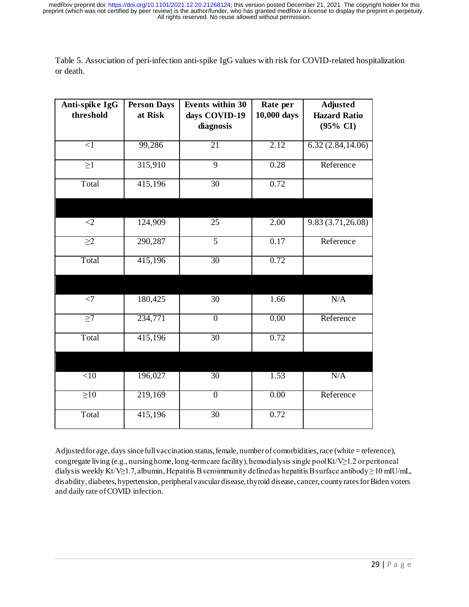Table 5. Association of peri-infection anti-spike IgG values with risk for COVID-related hospitalization or death.

| Anti-spike IgG<br>threshold | <b>Person Days</b><br>at Risk | <b>Events within 30</b><br>days COVID-19 | Rate per<br>10,000 days | <b>Adjusted</b><br><b>Hazard Ratio</b> |
|-----------------------------|-------------------------------|------------------------------------------|-------------------------|----------------------------------------|
|                             |                               | diagnosis                                |                         | $(95\% \text{ CI})$                    |
| $\leq$ 1                    | 99,286                        | 21                                       | 2.12                    | 6.32(2.84, 14.06)                      |
| $\geq$ 1                    | 315,910                       | $\overline{9}$                           | 0.28                    | Reference                              |
| Total                       | 415,196                       | 30                                       | 0.72                    |                                        |
|                             |                               |                                          |                         |                                        |
| $<$ 2                       | 124,909                       | 25                                       | 2.00                    | 9.83(3.71, 26.08)                      |
| $\geq$ 2                    | 290,287                       | $\overline{5}$                           | 0.17                    | Reference                              |
| Total                       | 415,196                       | 30                                       | 0.72                    |                                        |
|                             |                               |                                          |                         |                                        |
| $<$ 7                       | 180,425                       | 30                                       | 1.66                    | N/A                                    |
| $\geq$ 7                    | 234,771                       | $\overline{0}$                           | 0.00                    | Reference                              |
| Total                       | 415,196                       | 30                                       | 0.72                    |                                        |
|                             |                               |                                          |                         |                                        |
| $\overline{<}10$            | 196,027                       | $\overline{30}$                          | 1.53                    | N/A                                    |
| $\geq 10$                   | 219,169                       | $\overline{0}$                           | 0.00                    | Reference                              |
| Total                       | 415,196                       | $\overline{30}$                          | 0.72                    |                                        |

Adjusted for age, days since full vaccination status, female, number of comorbidities, race (white = reference), congregate living (e.g., nursing home, long-term care facility), hemodialysis single pool Kt/V $\geq$ 1.2 or peritoneal dialysis weekly Kt/V≥1.7, albumin, Hepatitis B seroimmunity defined as hepatitis B surface antibody ≥ 10 mIU/mL, disability, diabetes, hypertension, peripheral vascular disease, thyroid disease, cancer, county rates for Biden voters and daily rate of COVID infection.